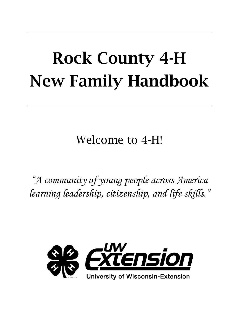# Rock County 4-H New Family Handbook

Welcome to 4-H!

*"A community of young people across America learning leadership, citizenship, and life skills."*

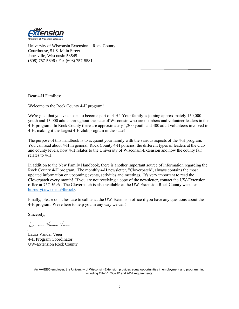

University of Wisconsin Extension – Rock County Courthouse, 51 S. Main Street Janesville, Wisconsin 53545 (608) 757-5696 / Fax (608) 757-5581

Dear 4-H Families:

Welcome to the Rock County 4-H program!

We're glad that you've chosen to become part of 4-H! Your family is joining approximately 150,000 youth and 13,000 adults throughout the state of Wisconsin who are members and volunteer leaders in the 4-H program. In Rock County there are approximately 1,200 youth and 400 adult volunteers involved in 4-H, making it the largest 4-H club program in the state!

The purpose of this handbook is to acquaint your family with the various aspects of the 4-H program. You can read about 4-H in general, Rock County 4-H policies, the different types of leaders at the club and county levels, how 4-H relates to the University of Wisconsin-Extension and how the county fair relates to 4-H.

In addition to the New Family Handbook, there is another important source of information regarding the Rock County 4-H program. The monthly 4-H newsletter, "Cloverpatch", always contains the most updated information on upcoming events, activities and meetings. It's very important to read the Cloverpatch every month! If you are not receiving a copy of the newsletter, contact the UW-Extension office at 757-5696. The Cloverpatch is also available at the UW-Extension Rock County website: [http://fyi.uwex.edu/4hrock/.](http://fyi.uwex.edu/4hrock/)

Finally, please don't hesitate to call us at the UW-Extension office if you have any questions about the 4-H program. We're here to help you in any way we can!

Sincerely,

Laure Vander Veen

Laura Vander Veen 4-H Program Coordinator UW-Extension Rock County

An AA/EEO employer, the University of Wisconsin-Extension provides equal opportunities in employment and programming including Title VI, Title IX and ADA requirements.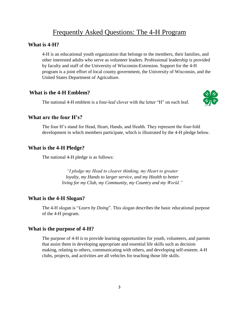# Frequently Asked Questions: The 4-H Program

#### **What is 4-H?**

4-H is an educational youth organization that belongs to the members, their families, and other interested adults who serve as volunteer leaders. Professional leadership is provided by faculty and staff of the University of Wisconsin-Extension. Support for the 4-H program is a joint effort of local county government, the University of Wisconsin, and the United States Department of Agriculture.

#### **What is the 4-H Emblem?**

The national 4-H emblem is a four-leaf clover with the letter "H" on each leaf.



#### **What are the four H's?**

The four H's stand for Head, Heart, Hands, and Health. They represent the four-fold development in which members participate, which is illustrated by the 4-H pledge below.

#### **What is the 4-H Pledge?**

The national 4-H pledge is as follows:

*"I pledge my Head to clearer thinking, my Heart to greater loyalty, my Hands to larger service, and my Health to better living for my Club, my Community, my Country and my World."*

#### **What is the 4-H Slogan?**

The 4-H slogan is "*Learn by Doing*". This slogan describes the basic educational purpose of the 4-H program.

#### **What is the purpose of 4-H?**

The purpose of 4-H is to provide learning opportunities for youth, volunteers, and parents that assist them in developing appropriate and essential life skills such as decision making, relating to others, communicating with others, and developing self-esteem. 4-H clubs, projects, and activities are all vehicles for teaching those life skills.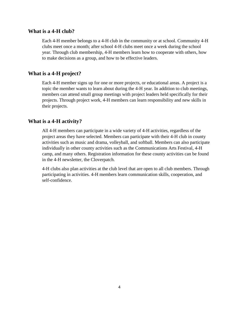### **What is a 4-H club?**

Each 4-H member belongs to a 4-H club in the community or at school. Community 4-H clubs meet once a month; after school 4-H clubs meet once a week during the school year. Through club membership, 4-H members learn how to cooperate with others, how to make decisions as a group, and how to be effective leaders.

# **What is a 4-H project?**

Each 4-H member signs up for one or more projects, or educational areas. A project is a topic the member wants to learn about during the 4-H year. In addition to club meetings, members can attend small group meetings with project leaders held specifically for their projects. Through project work, 4-H members can learn responsibility and new skills in their projects.

## **What is a 4-H activity?**

All 4-H members can participate in a wide variety of 4-H activities, regardless of the project areas they have selected. Members can participate with their 4-H club in county activities such as music and drama, volleyball, and softball. Members can also participate individually in other county activities such as the Communications Arts Festival, 4-H camp, and many others. Registration information for these county activities can be found in the 4-H newsletter, the Cloverpatch.

4-H clubs also plan activities at the club level that are open to all club members. Through participating in activities. 4-H members learn communication skills, cooperation, and self-confidence.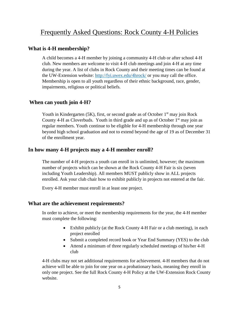# Frequently Asked Questions: Rock County 4-H Policies

# **What is 4-H membership?**

A child becomes a 4-H member by joining a community 4-H club or after school 4-H club. New members are welcome to visit 4-H club meetings and join 4-H at any time during the year. A list of clubs in Rock County and their meeting times can be found at the UW-Extension website:<http://fyi.uwex.edu/4hrock/> or you may call the office. Membership is open to all youth regardless of their ethnic background, race, gender, impairments, religious or political beliefs.

# **When can youth join 4-H?**

Youth in Kindergarten  $(5K)$ , first, or second grade as of October  $1<sup>st</sup>$  may join Rock County 4-H as Cloverbuds. Youth in third grade and up as of October  $1<sup>st</sup>$  may join as regular members. Youth continue to be eligible for 4-H membership through one year beyond high school graduation and not to extend beyond the age of 19 as of December 31 of the enrollment year.

# **In how many 4-H projects may a 4-H member enroll?**

The number of 4-H projects a youth can enroll in is unlimited, however; the maximum number of projects which can be shown at the Rock County 4-H Fair is six (seven including Youth Leadership). All members MUST publicly show in ALL projects enrolled. Ask your club chair how to exhibit publicly in projects not entered at the fair.

Every 4-H member must enroll in at least one project.

#### **What are the achievement requirements?**

In order to achieve, or meet the membership requirements for the year, the 4-H member must complete the following:

- Exhibit publicly (at the Rock County 4-H Fair or a club meeting), in each project enrolled
- Submit a completed record book or Year End Summary (YES) to the club
- Attend a minimum of three regularly scheduled meetings of his/her 4-H club

4-H clubs may not set additional requirements for achievement. 4-H members that do not achieve will be able to join for one year on a probationary basis, meaning they enroll in only one project. See the full Rock County 4-H Policy at the UW-Extension Rock County website.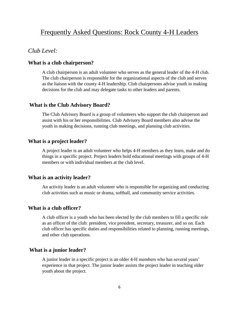# Frequently Asked Questions: Rock County 4-H Leaders

# *Club Level:*

# **What is a club chairperson?**

A club chairperson is an adult volunteer who serves as the general leader of the 4-H club. The club chairperson is responsible for the organizational aspects of the club and serves as the liaison with the county 4-H leadership. Club chairpersons advise youth in making decisions for the club and may delegate tasks to other leaders and parents.

#### **What is the Club Advisory Board?**

The Club Advisory Board is a group of volunteers who support the club chairperson and assist with his or her responsibilities. Club Advisory Board members also advise the youth in making decisions, running club meetings, and planning club activities.

#### **What is a project leader?**

A project leader is an adult volunteer who helps 4-H members as they learn, make and do things in a specific project. Project leaders hold educational meetings with groups of 4-H members or with individual members at the club level.

#### **What is an activity leader?**

An activity leader is an adult volunteer who is responsible for organizing and conducting club activities such as music or drama, softball, and community service activities.

#### **What is a club officer?**

A club officer is a youth who has been elected by the club members to fill a specific role as an officer of the club: president, vice president, secretary, treasurer, and so on. Each club officer has specific duties and responsibilities related to planning, running meetings, and other club operations.

## **What is a junior leader?**

A junior leader in a specific project is an older 4-H members who has several years' experience in that project. The junior leader assists the project leader in teaching older youth about the project.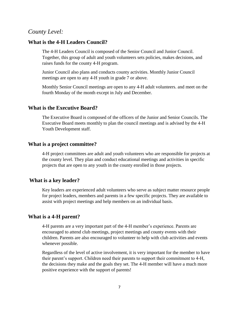# *County Level:*

#### **What is the 4-H Leaders Council?**

The 4-H Leaders Council is composed of the Senior Council and Junior Council. Together, this group of adult and youth volunteers sets policies, makes decisions, and raises funds for the county 4-H program.

Junior Council also plans and conducts county activities. Monthly Junior Council meetings are open to any 4-H youth in grade 7 or above.

Monthly Senior Council meetings are open to any 4-H adult volunteers. and meet on the fourth Monday of the month except in July and December.

#### **What is the Executive Board?**

The Executive Board is composed of the officers of the Junior and Senior Councils. The Executive Board meets monthly to plan the council meetings and is advised by the 4-H Youth Development staff.

#### **What is a project committee?**

4-H project committees are adult and youth volunteers who are responsible for projects at the county level. They plan and conduct educational meetings and activities in specific projects that are open to any youth in the county enrolled in those projects.

#### **What is a key leader?**

Key leaders are experienced adult volunteers who serve as subject matter resource people for project leaders, members and parents in a few specific projects. They are available to assist with project meetings and help members on an individual basis.

#### **What is a 4-H parent?**

4-H parents are a very important part of the 4-H member's experience. Parents are encouraged to attend club meetings, project meetings and county events with their children. Parents are also encouraged to volunteer to help with club activities and events whenever possible.

Regardless of the level of active involvement, it is very important for the member to have their parent's support. Children need their parents to support their commitment to 4-H, the decisions they make and the goals they set. The 4-H member will have a much more positive experience with the support of parents!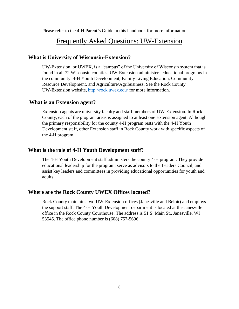Please refer to the 4-H Parent's Guide in this handbook for more information.

# Frequently Asked Questions: UW-Extension

# **What is University of Wisconsin-Extension?**

UW-Extension, or UWEX, is a "campus" of the University of Wisconsin system that is found in all 72 Wisconsin counties. UW-Extension administers educational programs in the community: 4-H Youth Development, Family Living Education, Community Resource Development, and Agriculture/Agribusiness. See the Rock County UW-Extension website,<http://rock.uwex.edu/> for more information.

# **What is an Extension agent?**

Extension agents are university faculty and staff members of UW-Extension. In Rock County, each of the program areas is assigned to at least one Extension agent. Although the primary responsibility for the county 4-H program rests with the 4-H Youth Development staff, other Extension staff in Rock County work with specific aspects of the 4-H program.

# **What is the role of 4-H Youth Development staff?**

The 4-H Youth Development staff administers the county 4-H program. They provide educational leadership for the program, serve as advisors to the Leaders Council, and assist key leaders and committees in providing educational opportunities for youth and adults.

# **Where are the Rock County UWEX Offices located?**

Rock County maintains two UW-Extension offices (Janesville and Beloit) and employs the support staff. The 4-H Youth Development department is located at the Janesville office in the Rock County Courthouse. The address is 51 S. Main St., Janesville, WI 53545. The office phone number is (608) 757-5696.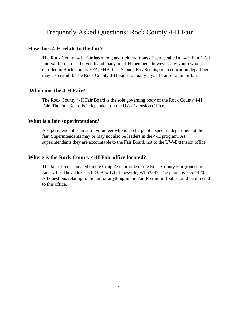# Frequently Asked Questions: Rock County 4-H Fair

#### **How does 4-H relate to the fair?**

The Rock County 4-H Fair has a long and rich traditions of being called a "4-H Fair". All fair exhibitors must be youth and many are 4-H members; however, any youth who is enrolled in Rock County FFA, FHA, Girl Scouts, Boy Scouts, or an education department may also exhibit. The Rock County 4-H Fair is actually a youth fair or a junior fair.

#### **Who runs the 4-H Fair?**

The Rock County 4-H Fair Board is the sole governing body of the Rock County 4-H Fair. The Fair Board is independent on the UW-Extension Office.

## **What is a fair superintendent?**

A superintendent is an adult volunteer who is in charge of a specific department at the fair. Superintendents may or may not also be leaders in the 4-H program. As superintendents they are accountable to the Fair Board, not to the UW-Extension office.

# **Where is the Rock County 4-H Fair office located?**

The fair office is located on the Craig Avenue side of the Rock County Fairgrounds in Janesville. The address is P.O. Box 170, Janesville, WI 53547. The phone is 755-1470. All questions relating to the fair or anything in the Fair Premium Book should be directed to this office.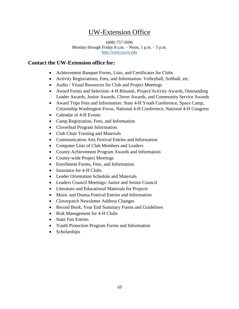# UW-Extension Office

(608) 757-5696 Monday through Friday 8 a.m. – Noon, 1 p.m. – 5 p.m. [http://rock.uwex.edu](http://rock.uwex.edu/)

# **Contact the UW-Extension office for:**

- Achievement Banquet Forms, Lists, and Certificates for Clubs
- Activity Registrations, Fees, and Information: Volleyball, Softball, etc.
- Audio / Visual Resources for Club and Project Meetings
- Award Forms and Selection: 4-H Résumé, Project/Activity Awards, Outstanding Leader Awards, Junior Awards, Clover Awards, and Community Service Awards
- Award Trips Fees and Information: State 4-H Youth Conference, Space Camp, Citizenship Washington Focus, National 4-H Conference, National 4-H Congress
- Calendar of 4-H Events
- Camp Registration, Fees, and Information
- Cloverbud Program Information.
- Club Chair Training and Materials
- Communication Arts Festival Entries and Information
- Computer Lists of Club Members and Leaders
- County Achievement Program Awards and Information
- County-wide Project Meetings
- Enrollment Forms, Fees, and Information
- Insurance for 4-H Clubs
- Leader Orientation Schedule and Materials
- Leaders Council Meetings: Junior and Senior Council
- Literature and Educational Materials for Projects
- Music and Drama Festival Entries and Information
- Cloverpatch Newsletter Address Changes
- Record Book, Year End Summary Forms and Guidelines
- Risk Management for 4-H Clubs
- State Fair Entries
- Youth Protection Program Forms and Information
- Scholarships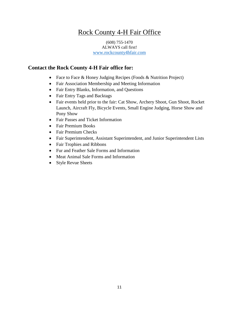# Rock County 4-H Fair Office

#### (608) 755-1470 ALWAYS call first! <www.rockcounty4hfair.com>

# **Contact the Rock County 4-H Fair office for:**

- Face to Face & Honey Judging Recipes (Foods & Nutrition Project)
- Fair Association Membership and Meeting Information
- Fair Entry Blanks, Information, and Questions
- Fair Entry Tags and Backtags
- Fair events held prior to the fair: Cat Show, Archery Shoot, Gun Shoot, Rocket Launch, Aircraft Fly, Bicycle Events, Small Engine Judging, Horse Show and Pony Show
- Fair Passes and Ticket Information
- Fair Premium Books
- Fair Premium Checks
- Fair Superintendent, Assistant Superintendent, and Junior Superintendent Lists
- Fair Trophies and Ribbons
- Fur and Feather Sale Forms and Information
- Meat Animal Sale Forms and Information
- Style Revue Sheets